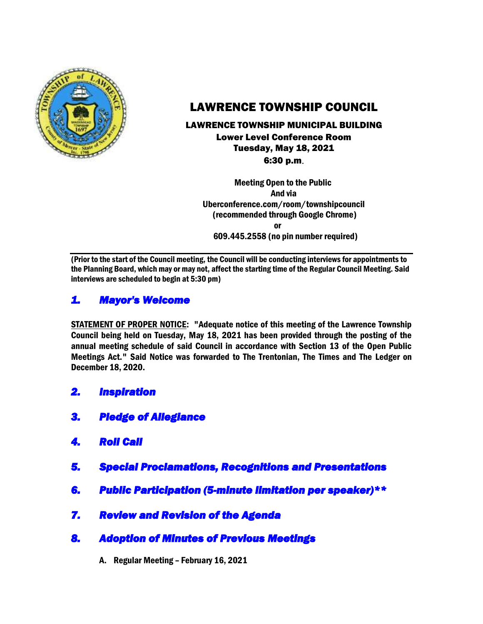

# LAWRENCE TOWNSHIP COUNCIL

## LAWRENCE TOWNSHIP MUNICIPAL BUILDING

Lower Level Conference Room Tuesday, May 18, 2021 6:30 p.m.

 Meeting Open to the Public And via Uberconference.com/room/townshipcouncil (recommended through Google Chrome) **or or** 609.445.2558 (no pin number required)

(Prior to the start of the Council meeting, the Council will be conducting interviews for appointments to the Planning Board, which may or may not, affect the starting time of the Regular Council Meeting. Said interviews are scheduled to begin at 5:30 pm)

# *1. Mayor's Welcome*

STATEMENT OF PROPER NOTICE: "Adequate notice of this meeting of the Lawrence Township Council being held on Tuesday, May 18, 2021 has been provided through the posting of the annual meeting schedule of said Council in accordance with Section 13 of the Open Public Meetings Act." Said Notice was forwarded to The Trentonian, The Times and The Ledger on December 18, 2020.

- *2. Inspiration*
- *3. Pledge of Allegiance*
- *4. Roll Call*
- *5. Special Proclamations, Recognitions and Presentations*
- *6. Public Participation (5-minute limitation per speaker)\*\**
- *7. Review and Revision of the Agenda*
- *8. Adoption of Minutes of Previous Meetings* 
	- A. Regular Meeting February 16, 2021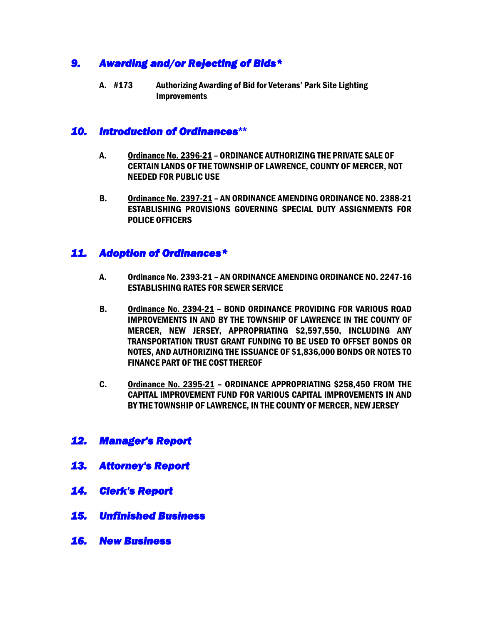# *9. Awarding and/or Rejecting of Bids\**

A. #173 Authorizing Awarding of Bid for Veterans' Park Site Lighting **Improvements** 

### *10. Introduction of Ordinances***\*\***

- A. Ordinance No. 2396-21 ORDINANCE AUTHORIZING THE PRIVATE SALE OF CERTAIN LANDS OF THE TOWNSHIP OF LAWRENCE, COUNTY OF MERCER, NOT NEEDED FOR PUBLIC USE
- B. Ordinance No. 2397-21 AN ORDINANCE AMENDING ORDINANCE NO. 2388-21 ESTABLISHING PROVISIONS GOVERNING SPECIAL DUTY ASSIGNMENTS FOR POLICE OFFICERS

## *11. Adoption of Ordinances\**

- A. Ordinance No. 2393-21 AN ORDINANCE AMENDING ORDINANCE NO. 2247-16 ESTABLISHING RATES FOR SEWER SERVICE
- B. Ordinance No. 2394-21 BOND ORDINANCE PROVIDING FOR VARIOUS ROAD IMPROVEMENTS IN AND BY THE TOWNSHIP OF LAWRENCE IN THE COUNTY OF MERCER, NEW JERSEY, APPROPRIATING \$2,597,550, INCLUDING ANY TRANSPORTATION TRUST GRANT FUNDING TO BE USED TO OFFSET BONDS OR NOTES, AND AUTHORIZING THE ISSUANCE OF \$1,836,000 BONDS OR NOTES TO FINANCE PART OF THE COST THEREOF
- C. Ordinance No. 2395-21 ORDINANCE APPROPRIATING \$258,450 FROM THE CAPITAL IMPROVEMENT FUND FOR VARIOUS CAPITAL IMPROVEMENTS IN AND BY THE TOWNSHIP OF LAWRENCE, IN THE COUNTY OF MERCER, NEW JERSEY

### *12. Manager's Report*

- *13. Attorney's Report*
- *14. Clerk's Report*
- *15. Unfinished Business*
- *16. New Business*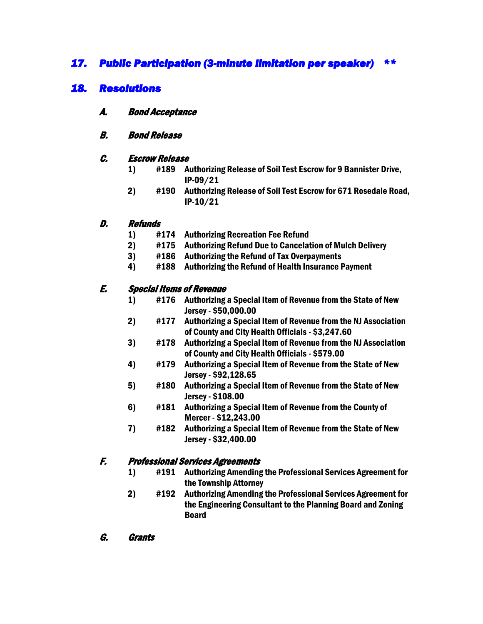# *17. Public Participation (3-minute limitation per speaker) \*\**

# *18. Resolutions*

- A. Bond Acceptance
- B. Bond Release

#### C. Escrow Release

- 1) #189 Authorizing Release of Soil Test Escrow for 9 Bannister Drive, IP-09/21
- 2) #190 Authorizing Release of Soil Test Escrow for 671 Rosedale Road, IP-10/21

#### D. Refunds

- 1) #174 Authorizing Recreation Fee Refund
- 2) #175 Authorizing Refund Due to Cancelation of Mulch Delivery
- 3) #186 Authorizing the Refund of Tax Overpayments
- 4) #188 Authorizing the Refund of Health Insurance Payment

### E. Special Items of Revenue

- 1) #176 Authorizing a Special Item of Revenue from the State of New Jersey - \$50,000.00
- 2) #177 Authorizing a Special Item of Revenue from the NJ Association of County and City Health Officials - \$3,247.60
- 3) #178 Authorizing a Special Item of Revenue from the NJ Association of County and City Health Officials - \$579.00
- 4) #179 Authorizing a Special Item of Revenue from the State of New Jersey - \$92,128.65
- 5) #180 Authorizing a Special Item of Revenue from the State of New Jersey - \$108.00
- 6) #181 Authorizing a Special Item of Revenue from the County of Mercer - \$12,243.00
- 7) #182 Authorizing a Special Item of Revenue from the State of New Jersey - \$32,400.00

### F. Professional Services Agreements

- 1) #191 Authorizing Amending the Professional Services Agreement for the Township Attorney
- 2) #192 Authorizing Amending the Professional Services Agreement for the Engineering Consultant to the Planning Board and Zoning Board
- G. Grants